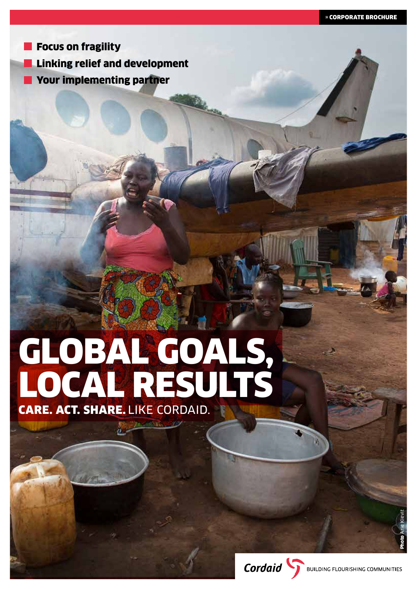**Focus on fragility Linking relief and development** Your implementing partner

# GLOBAL GOALS, LOCAL RESULTS

CARE. ACT. SHARE. LIKE CORDAID.

Photo Arie Kievit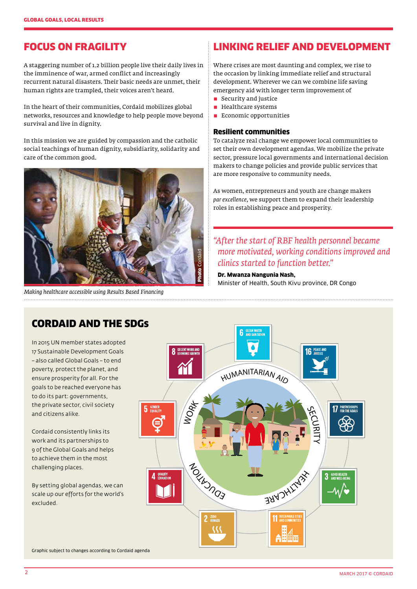# FOCUS ON FRAGILITY

A staggering number of 1.2 billion people live their daily lives in the imminence of war, armed conflict and increasingly recurrent natural disasters. Their basic needs are unmet, their human rights are trampled, their voices aren't heard.

In the heart of their communities, Cordaid mobilizes global networks, resources and knowledge to help people move beyond survival and live in dignity.

In this mission we are guided by compassion and the catholic social teachings of human dignity, subsidiarity, solidarity and care of the common good.



*Making healthcare accessible using Results Based Financing* 

# LINKING RELIEF AND DEVELOPMENT

Where crises are most daunting and complex, we rise to the occasion by linking immediate relief and structural development. Wherever we can we combine life saving emergency aid with longer term improvement of

- $\blacksquare$  Security and justice
- $\blacksquare$  Healthcare systems
- $\blacksquare$  Economic opportunities

#### Resilient communities

To catalyze real change we empower local communities to set their own development agendas. We mobilize the private sector, pressure local governments and international decision makers to change policies and provide public services that are more responsive to community needs.

As women, entrepreneurs and youth are change makers *par excellence*, we support them to expand their leadership roles in establishing peace and prosperity.

## *"After the start of RBF health personnel became more motivated, working conditions improved and clinics started to function better."*

Dr. Mwanza Nangunia Nash,

Minister of Health, South Kivu province, DR Congo



## CORDAID AND THE SDGs

In 2015 UN member states adopted 17 Sustainable Development Goals – also called Global Goals – to end poverty, protect the planet, and ensure prosperity for all. For the goals to be reached everyone has to do its part: governments, the private sector, civil society and citizens alike.

Cordaid consistently links its work and its partnerships to 9 of the Global Goals and helps to achieve them in the most challenging places.

By setting global agendas, we can scale up our efforts for the world's excluded.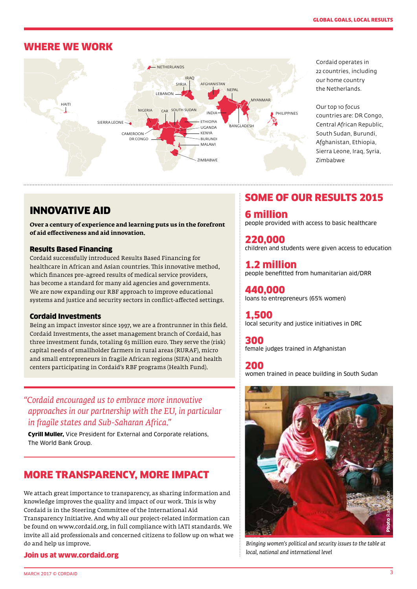## WHERE WE WORK



Cordaid operates in 22 countries, including our home country the Netherlands.

Our top 10 focus countries are: DR Congo, Central African Republic, South Sudan, Burundi, Afghanistan, Ethiopia, Sierra Leone, Iraq, Syria, Zimbabwe

## INNOVATIVE AID

**Over a century of experience and learning puts us in the forefront of aid effectiveness and aid innovation.**

#### Results Based Financing

Cordaid successfully introduced Results Based Financing for healthcare in African and Asian countries. This innovative method, which finances pre-agreed results of medical service providers, has become a standard for many aid agencies and governments. We are now expanding our RBF approach to improve educational systems and justice and security sectors in conflict-affected settings.

#### Cordaid Investments

Being an impact investor since 1997, we are a frontrunner in this field. Cordaid Investments, the asset management branch of Cordaid, has three investment funds, totaling 63 million euro. They serve the (risk) capital needs of smallholder farmers in rural areas (RURAF), micro and small entrepreneurs in fragile African regions (SIFA) and health centers participating in Cordaid's RBF programs (Health Fund).

## *"Cordaid encouraged us to embrace more innovative approaches in our partnership with the EU, in particular in fragile states and Sub-Saharan Africa."*

Cyrill Muller, Vice President for External and Corporate relations, The World Bank Group.

# MORE TRANSPARENCY, MORE IMPACT

We attach great importance to transparency, as sharing information and knowledge improves the quality and impact of our work. This is why Cordaid is in the Steering Committee of the International Aid Transparency Initiative. And why all our project-related information can be found on www.cordaid.org, in full compliance with IATI standards. We invite all aid professionals and concerned citizens to follow up on what we do and help us improve.

#### Join us at www.cordaid.org

# SOME OF OUR RESULTS 2015

6 million people provided with access to basic healthcare

220,000 children and students were given access to education

1.2 million people benefitted from humanitarian aid/DRR

440,000 loans to entrepreneurs (65% women)

1,500 local security and justice initiatives in DRC

300 female judges trained in Afghanistan

200 women trained in peace building in South Sudan



*Bringing women's political and security issues to the table at local, national and international level*